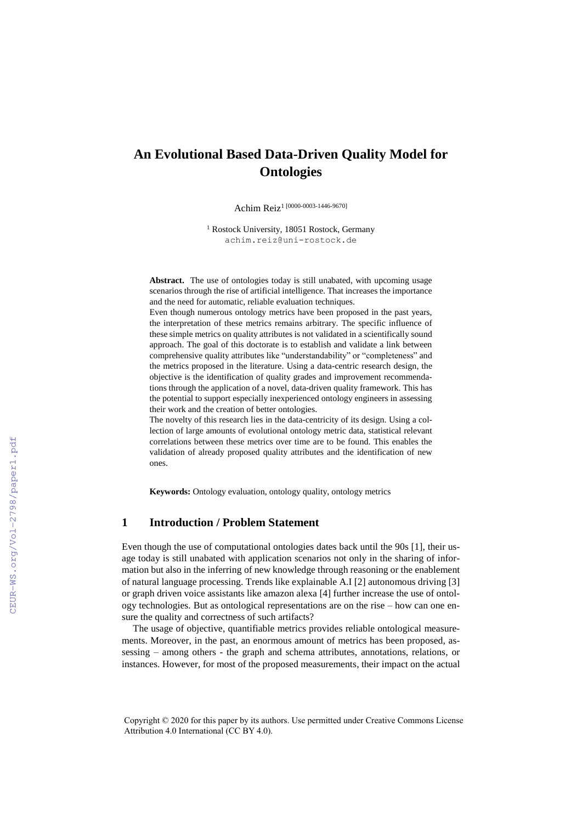# **An Evolutional Based Data-Driven Quality Model for Ontologies**

Achim Reiz<sup>1 [0000-0003-1446-9670]</sup>

<sup>1</sup> Rostock University, 18051 Rostock, Germany achim.reiz@uni-rostock.de

**Abstract.** The use of ontologies today is still unabated, with upcoming usage scenarios through the rise of artificial intelligence. That increases the importance and the need for automatic, reliable evaluation techniques.

Even though numerous ontology metrics have been proposed in the past years, the interpretation of these metrics remains arbitrary. The specific influence of these simple metrics on quality attributes is not validated in a scientifically sound approach. The goal of this doctorate is to establish and validate a link between comprehensive quality attributes like "understandability" or "completeness" and the metrics proposed in the literature. Using a data-centric research design, the objective is the identification of quality grades and improvement recommendations through the application of a novel, data-driven quality framework. This has the potential to support especially inexperienced ontology engineers in assessing their work and the creation of better ontologies.

The novelty of this research lies in the data-centricity of its design. Using a collection of large amounts of evolutional ontology metric data, statistical relevant correlations between these metrics over time are to be found. This enables the validation of already proposed quality attributes and the identification of new ones.

**Keywords:** Ontology evaluation, ontology quality, ontology metrics

### **1 Introduction / Problem Statement**

Even though the use of computational ontologies dates back until the 90s [1], their usage today is still unabated with application scenarios not only in the sharing of information but also in the inferring of new knowledge through reasoning or the enablement of natural language processing. Trends like explainable A.I [2] autonomous driving [3] or graph driven voice assistants like amazon alexa [4] further increase the use of ontology technologies. But as ontological representations are on the rise – how can one ensure the quality and correctness of such artifacts?

The usage of objective, quantifiable metrics provides reliable ontological measurements. Moreover, in the past, an enormous amount of metrics has been proposed, assessing – among others - the graph and schema attributes, annotations, relations, or instances. However, for most of the proposed measurements, their impact on the actual

Copyright © 2020 for this paper by its authors. Use permitted under Creative Commons License Attribution 4.0 International (CC BY 4.0).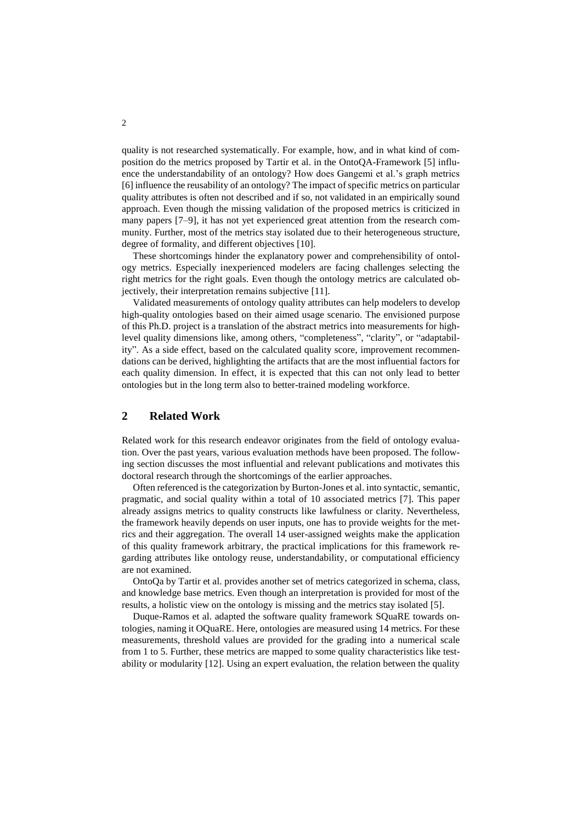quality is not researched systematically. For example, how, and in what kind of composition do the metrics proposed by Tartir et al. in the OntoQA-Framework [5] influence the understandability of an ontology? How does Gangemi et al.'s graph metrics [6] influence the reusability of an ontology? The impact of specific metrics on particular quality attributes is often not described and if so, not validated in an empirically sound approach. Even though the missing validation of the proposed metrics is criticized in many papers [7–9], it has not yet experienced great attention from the research community. Further, most of the metrics stay isolated due to their heterogeneous structure, degree of formality, and different objectives [10].

These shortcomings hinder the explanatory power and comprehensibility of ontology metrics. Especially inexperienced modelers are facing challenges selecting the right metrics for the right goals. Even though the ontology metrics are calculated objectively, their interpretation remains subjective [11].

Validated measurements of ontology quality attributes can help modelers to develop high-quality ontologies based on their aimed usage scenario. The envisioned purpose of this Ph.D. project is a translation of the abstract metrics into measurements for highlevel quality dimensions like, among others, "completeness", "clarity", or "adaptability". As a side effect, based on the calculated quality score, improvement recommendations can be derived, highlighting the artifacts that are the most influential factors for each quality dimension. In effect, it is expected that this can not only lead to better ontologies but in the long term also to better-trained modeling workforce.

# <span id="page-1-0"></span>**2 Related Work**

Related work for this research endeavor originates from the field of ontology evaluation. Over the past years, various evaluation methods have been proposed. The following section discusses the most influential and relevant publications and motivates this doctoral research through the shortcomings of the earlier approaches.

Often referenced is the categorization by Burton-Jones et al. into syntactic, semantic, pragmatic, and social quality within a total of 10 associated metrics [7]. This paper already assigns metrics to quality constructs like lawfulness or clarity. Nevertheless, the framework heavily depends on user inputs, one has to provide weights for the metrics and their aggregation. The overall 14 user-assigned weights make the application of this quality framework arbitrary, the practical implications for this framework regarding attributes like ontology reuse, understandability, or computational efficiency are not examined.

OntoQa by Tartir et al. provides another set of metrics categorized in schema, class, and knowledge base metrics. Even though an interpretation is provided for most of the results, a holistic view on the ontology is missing and the metrics stay isolated [5].

Duque-Ramos et al. adapted the software quality framework SQuaRE towards ontologies, naming it OQuaRE. Here, ontologies are measured using 14 metrics. For these measurements, threshold values are provided for the grading into a numerical scale from 1 to 5. Further, these metrics are mapped to some quality characteristics like testability or modularity [12]. Using an expert evaluation, the relation between the quality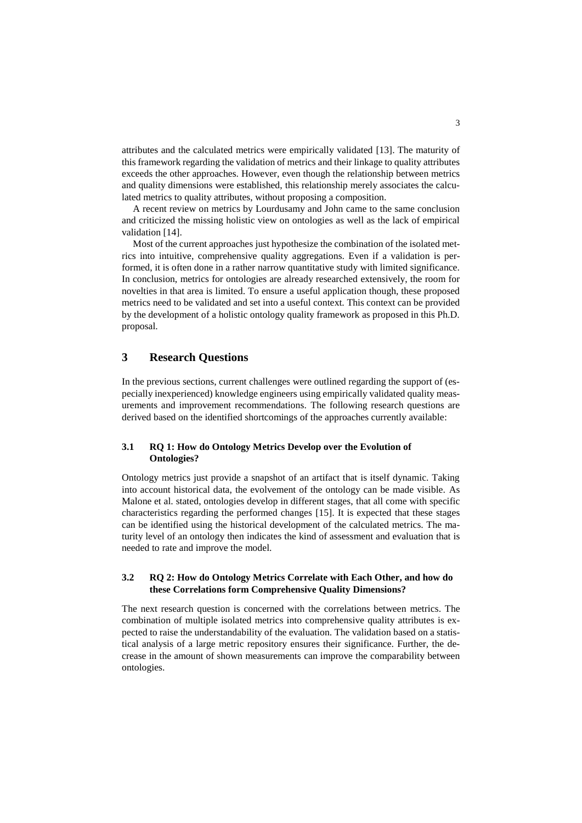attributes and the calculated metrics were empirically validated [13]. The maturity of this framework regarding the validation of metrics and their linkage to quality attributes exceeds the other approaches. However, even though the relationship between metrics and quality dimensions were established, this relationship merely associates the calculated metrics to quality attributes, without proposing a composition.

A recent review on metrics by Lourdusamy and John came to the same conclusion and criticized the missing holistic view on ontologies as well as the lack of empirical validation [14].

Most of the current approaches just hypothesize the combination of the isolated metrics into intuitive, comprehensive quality aggregations. Even if a validation is performed, it is often done in a rather narrow quantitative study with limited significance. In conclusion, metrics for ontologies are already researched extensively, the room for novelties in that area is limited. To ensure a useful application though, these proposed metrics need to be validated and set into a useful context. This context can be provided by the development of a holistic ontology quality framework as proposed in this Ph.D. proposal.

### **3 Research Questions**

In the previous sections, current challenges were outlined regarding the support of (especially inexperienced) knowledge engineers using empirically validated quality measurements and improvement recommendations. The following research questions are derived based on the identified shortcomings of the approaches currently available:

#### **3.1 RQ 1: How do Ontology Metrics Develop over the Evolution of Ontologies?**

Ontology metrics just provide a snapshot of an artifact that is itself dynamic. Taking into account historical data, the evolvement of the ontology can be made visible. As Malone et al. stated, ontologies develop in different stages, that all come with specific characteristics regarding the performed changes [15]. It is expected that these stages can be identified using the historical development of the calculated metrics. The maturity level of an ontology then indicates the kind of assessment and evaluation that is needed to rate and improve the model.

#### **3.2 RQ 2: How do Ontology Metrics Correlate with Each Other, and how do these Correlations form Comprehensive Quality Dimensions?**

The next research question is concerned with the correlations between metrics. The combination of multiple isolated metrics into comprehensive quality attributes is expected to raise the understandability of the evaluation. The validation based on a statistical analysis of a large metric repository ensures their significance. Further, the decrease in the amount of shown measurements can improve the comparability between ontologies.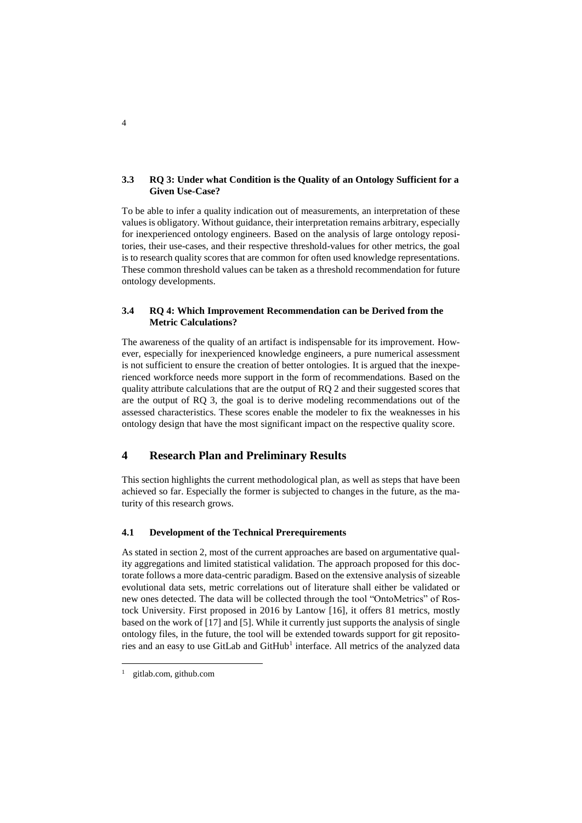#### **3.3 RQ 3: Under what Condition is the Quality of an Ontology Sufficient for a Given Use-Case?**

To be able to infer a quality indication out of measurements, an interpretation of these values is obligatory. Without guidance, their interpretation remains arbitrary, especially for inexperienced ontology engineers. Based on the analysis of large ontology repositories, their use-cases, and their respective threshold-values for other metrics, the goal is to research quality scores that are common for often used knowledge representations. These common threshold values can be taken as a threshold recommendation for future ontology developments.

#### **3.4 RQ 4: Which Improvement Recommendation can be Derived from the Metric Calculations?**

The awareness of the quality of an artifact is indispensable for its improvement. However, especially for inexperienced knowledge engineers, a pure numerical assessment is not sufficient to ensure the creation of better ontologies. It is argued that the inexperienced workforce needs more support in the form of recommendations. Based on the quality attribute calculations that are the output of RQ 2 and their suggested scores that are the output of RQ 3, the goal is to derive modeling recommendations out of the assessed characteristics. These scores enable the modeler to fix the weaknesses in his ontology design that have the most significant impact on the respective quality score.

# **4 Research Plan and Preliminary Results**

This section highlights the current methodological plan, as well as steps that have been achieved so far. Especially the former is subjected to changes in the future, as the maturity of this research grows.

#### **4.1 Development of the Technical Prerequirements**

As stated in sectio[n 2,](#page-1-0) most of the current approaches are based on argumentative quality aggregations and limited statistical validation. The approach proposed for this doctorate follows a more data-centric paradigm. Based on the extensive analysis of sizeable evolutional data sets, metric correlations out of literature shall either be validated or new ones detected. The data will be collected through the tool "OntoMetrics" of Rostock University. First proposed in 2016 by Lantow [16], it offers 81 metrics, mostly based on the work of [17] and [5]. While it currently just supports the analysis of single ontology files, in the future, the tool will be extended towards support for git repositories and an easy to use GitLab and GitHub<sup>1</sup> interface. All metrics of the analyzed data

 $\overline{a}$ 

4

gitlab.com, github.com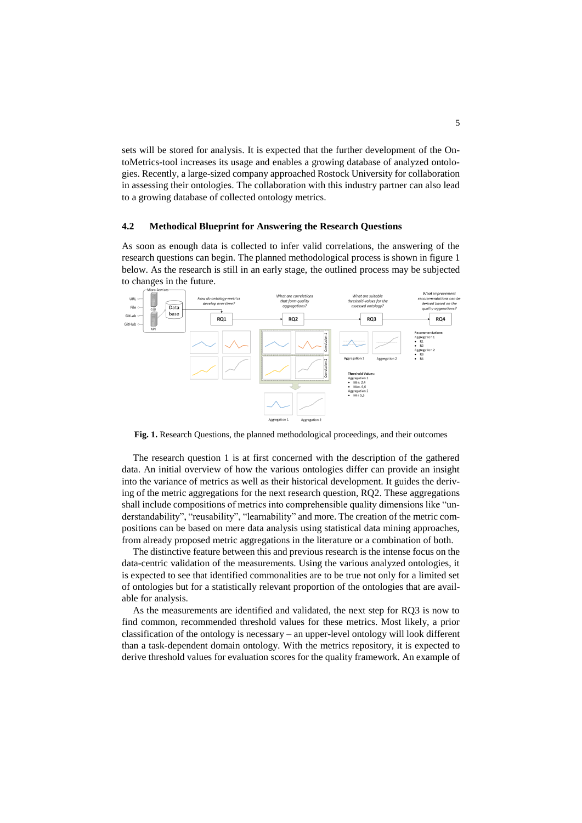sets will be stored for analysis. It is expected that the further development of the OntoMetrics-tool increases its usage and enables a growing database of analyzed ontologies. Recently, a large-sized company approached Rostock University for collaboration in assessing their ontologies. The collaboration with this industry partner can also lead to a growing database of collected ontology metrics.

#### **4.2 Methodical Blueprint for Answering the Research Questions**

As soon as enough data is collected to infer valid correlations, the answering of the research questions can begin. The planned methodological process is shown in figure 1 below. As the research is still in an early stage, the outlined process may be subjected to changes in the future.



**Fig. 1.** Research Questions, the planned methodological proceedings, and their outcomes

The research question 1 is at first concerned with the description of the gathered data. An initial overview of how the various ontologies differ can provide an insight into the variance of metrics as well as their historical development. It guides the deriving of the metric aggregations for the next research question, RQ2. These aggregations shall include compositions of metrics into comprehensible quality dimensions like "understandability", "reusability", "learnability" and more. The creation of the metric compositions can be based on mere data analysis using statistical data mining approaches, from already proposed metric aggregations in the literature or a combination of both.

The distinctive feature between this and previous research is the intense focus on the data-centric validation of the measurements. Using the various analyzed ontologies, it is expected to see that identified commonalities are to be true not only for a limited set of ontologies but for a statistically relevant proportion of the ontologies that are available for analysis.

As the measurements are identified and validated, the next step for RQ3 is now to find common, recommended threshold values for these metrics. Most likely, a prior classification of the ontology is necessary – an upper-level ontology will look different than a task-dependent domain ontology. With the metrics repository, it is expected to derive threshold values for evaluation scores for the quality framework. An example of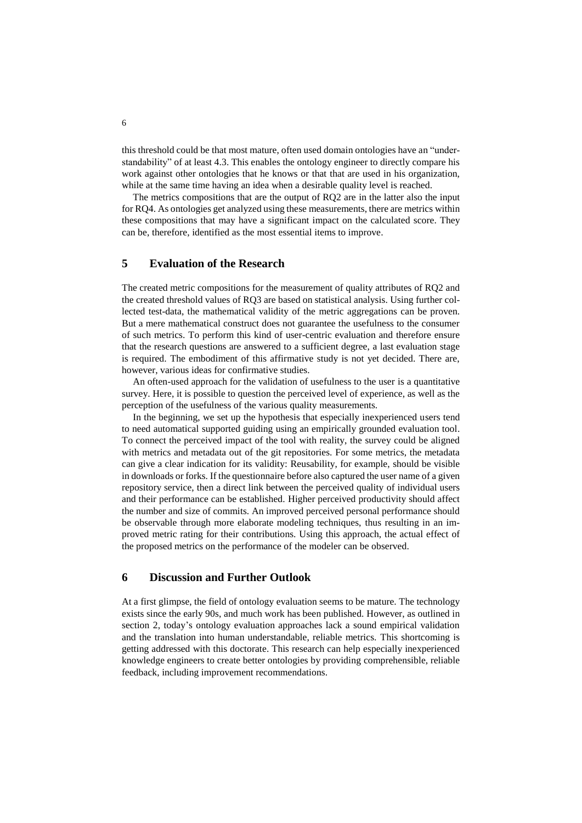this threshold could be that most mature, often used domain ontologies have an "understandability" of at least 4.3. This enables the ontology engineer to directly compare his work against other ontologies that he knows or that that are used in his organization, while at the same time having an idea when a desirable quality level is reached.

The metrics compositions that are the output of RQ2 are in the latter also the input for RQ4. As ontologies get analyzed using these measurements, there are metrics within these compositions that may have a significant impact on the calculated score. They can be, therefore, identified as the most essential items to improve.

# **5 Evaluation of the Research**

The created metric compositions for the measurement of quality attributes of RQ2 and the created threshold values of RQ3 are based on statistical analysis. Using further collected test-data, the mathematical validity of the metric aggregations can be proven. But a mere mathematical construct does not guarantee the usefulness to the consumer of such metrics. To perform this kind of user-centric evaluation and therefore ensure that the research questions are answered to a sufficient degree, a last evaluation stage is required. The embodiment of this affirmative study is not yet decided. There are, however, various ideas for confirmative studies.

An often-used approach for the validation of usefulness to the user is a quantitative survey. Here, it is possible to question the perceived level of experience, as well as the perception of the usefulness of the various quality measurements.

In the beginning, we set up the hypothesis that especially inexperienced users tend to need automatical supported guiding using an empirically grounded evaluation tool. To connect the perceived impact of the tool with reality, the survey could be aligned with metrics and metadata out of the git repositories. For some metrics, the metadata can give a clear indication for its validity: Reusability, for example, should be visible in downloads or forks. If the questionnaire before also captured the user name of a given repository service, then a direct link between the perceived quality of individual users and their performance can be established. Higher perceived productivity should affect the number and size of commits. An improved perceived personal performance should be observable through more elaborate modeling techniques, thus resulting in an improved metric rating for their contributions. Using this approach, the actual effect of the proposed metrics on the performance of the modeler can be observed.

#### **6 Discussion and Further Outlook**

At a first glimpse, the field of ontology evaluation seems to be mature. The technology exists since the early 90s, and much work has been published. However, as outlined in section 2, today's ontology evaluation approaches lack a sound empirical validation and the translation into human understandable, reliable metrics. This shortcoming is getting addressed with this doctorate. This research can help especially inexperienced knowledge engineers to create better ontologies by providing comprehensible, reliable feedback, including improvement recommendations.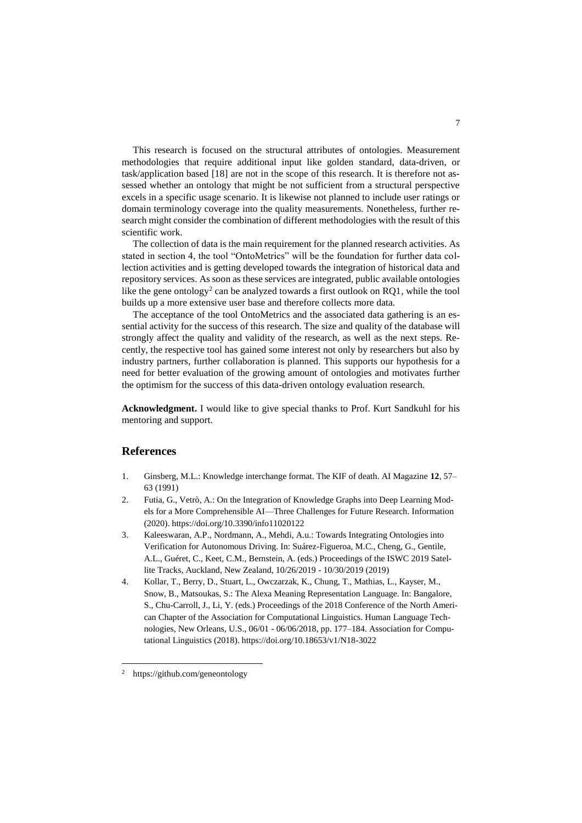This research is focused on the structural attributes of ontologies. Measurement methodologies that require additional input like golden standard, data-driven, or task/application based [18] are not in the scope of this research. It is therefore not assessed whether an ontology that might be not sufficient from a structural perspective excels in a specific usage scenario. It is likewise not planned to include user ratings or domain terminology coverage into the quality measurements. Nonetheless, further research might consider the combination of different methodologies with the result of this scientific work.

The collection of data is the main requirement for the planned research activities. As stated in section 4, the tool "OntoMetrics" will be the foundation for further data collection activities and is getting developed towards the integration of historical data and repository services. As soon as these services are integrated, public available ontologies like the gene ontology<sup>2</sup> can be analyzed towards a first outlook on RQ1, while the tool builds up a more extensive user base and therefore collects more data.

The acceptance of the tool OntoMetrics and the associated data gathering is an essential activity for the success of this research. The size and quality of the database will strongly affect the quality and validity of the research, as well as the next steps. Recently, the respective tool has gained some interest not only by researchers but also by industry partners, further collaboration is planned. This supports our hypothesis for a need for better evaluation of the growing amount of ontologies and motivates further the optimism for the success of this data-driven ontology evaluation research.

**Acknowledgment.** I would like to give special thanks to Prof. Kurt Sandkuhl for his mentoring and support.

# **References**

- 1. Ginsberg, M.L.: Knowledge interchange format. The KIF of death. AI Magazine **12**, 57– 63 (1991)
- 2. Futia, G., Vetrò, A.: On the Integration of Knowledge Graphs into Deep Learning Models for a More Comprehensible AI—Three Challenges for Future Research. Information (2020). https://doi.org/10.3390/info11020122
- 3. Kaleeswaran, A.P., Nordmann, A., Mehdi, A.u.: Towards Integrating Ontologies into Verification for Autonomous Driving. In: Suárez-Figueroa, M.C., Cheng, G., Gentile, A.L., Guéret, C., Keet, C.M., Bernstein, A. (eds.) Proceedings of the ISWC 2019 Satellite Tracks, Auckland, New Zealand, 10/26/2019 - 10/30/2019 (2019)
- 4. Kollar, T., Berry, D., Stuart, L., Owczarzak, K., Chung, T., Mathias, L., Kayser, M., Snow, B., Matsoukas, S.: The Alexa Meaning Representation Language. In: Bangalore, S., Chu-Carroll, J., Li, Y. (eds.) Proceedings of the 2018 Conference of the North American Chapter of the Association for Computational Linguistics. Human Language Technologies, New Orleans, U.S., 06/01 - 06/06/2018, pp. 177–184. Association for Computational Linguistics (2018). https://doi.org/10.18653/v1/N18-3022

 $\overline{a}$ 

<sup>2</sup> https://github.com/geneontology